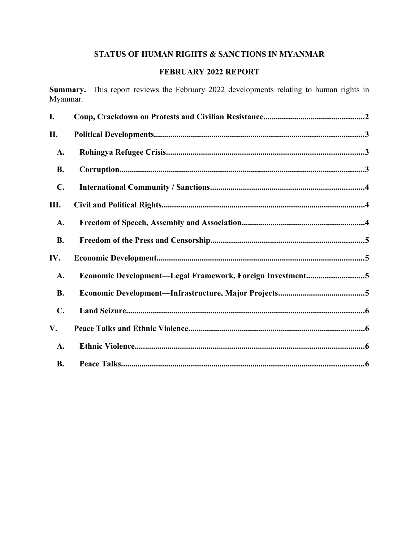# **STATUS OF HUMAN RIGHTS & SANCTIONS IN MYANMAR**

# **FEBRUARY 2022 REPORT**

**Summary.** This report reviews the February 2022 developments relating to human rights in Myanmar.

| I.             |                                                           |
|----------------|-----------------------------------------------------------|
| П.             |                                                           |
| A.             |                                                           |
| <b>B.</b>      |                                                           |
| $\mathbf{C}$ . |                                                           |
| Ш.             |                                                           |
| A.             |                                                           |
| <b>B.</b>      |                                                           |
| IV.            |                                                           |
| A.             | Economic Development-Legal Framework, Foreign Investment5 |
| <b>B.</b>      |                                                           |
| $C_{\bullet}$  |                                                           |
| V.             |                                                           |
| A.             |                                                           |
| <b>B.</b>      |                                                           |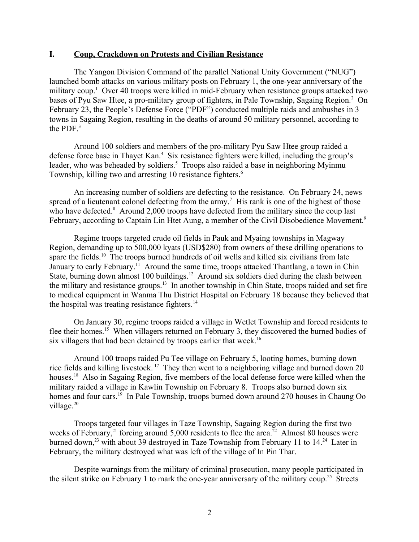#### <span id="page-1-0"></span>**I. Coup, Crackdown on Protests and Civilian Resistance**

The Yangon Division Command of the parallel National Unity Government ("NUG") launched bomb attacks on various military posts on February 1, the one-year anniversary of the military coup.<sup>[1](#page-7-0)</sup> Over 40 troops were killed in mid-February when resistance groups attacked two bases of Pyu Saw Htee, a pro-military group of fighters, in Pale Township, Sagaing Region.<sup>[2](#page-7-1)</sup> On February 23, the People's Defense Force ("PDF") conducted multiple raids and ambushes in 3 towns in Sagaing Region, resulting in the deaths of around 50 military personnel, according to the PDF. $3$ 

<span id="page-1-3"></span><span id="page-1-2"></span><span id="page-1-1"></span>Around 100 soldiers and members of the pro-military Pyu Saw Htee group raided a defense force base in Thayet Kan.<sup>[4](#page-7-3)</sup> Six resistance fighters were killed, including the group's leader, who was beheaded by soldiers.<sup>[5](#page-7-4)</sup> Troops also raided a base in neighboring Myinmu Township, killing two and arresting 10 resistance fighters.<sup>[6](#page-7-5)</sup>

<span id="page-1-6"></span><span id="page-1-5"></span><span id="page-1-4"></span>An increasing number of soldiers are defecting to the resistance. On February 24, news spread of a lieutenant colonel defecting from the army.<sup>[7](#page-7-6)</sup> His rank is one of the highest of those who have defected. $8$  Around 2,000 troops have defected from the military since the coup last February, according to Captain Lin Htet Aung, a member of the Civil Disobedience Movement.<sup>[9](#page-7-8)</sup>

<span id="page-1-9"></span><span id="page-1-8"></span><span id="page-1-7"></span>Regime troops targeted crude oil fields in Pauk and Myaing townships in Magway Region, demanding up to 500,000 kyats (USD\$280) from owners of these drilling operations to spare the fields.<sup>[10](#page-7-9)</sup> The troops burned hundreds of oil wells and killed six civilians from late January to early February.<sup>[11](#page-7-10)</sup> Around the same time, troops attacked Thantlang, a town in Chin State, burning down almost 100 buildings.<sup>[12](#page-7-11)</sup> Around six soldiers died during the clash between the military and resistance groups.<sup>[13](#page-7-12)</sup> In another township in Chin State, troops raided and set fire to medical equipment in Wanma Thu District Hospital on February 18 because they believed that the hospital was treating resistance fighters.<sup>[14](#page-7-13)</sup>

<span id="page-1-14"></span><span id="page-1-13"></span><span id="page-1-12"></span><span id="page-1-11"></span><span id="page-1-10"></span>On January 30, regime troops raided a village in Wetlet Township and forced residents to flee their homes.<sup>[15](#page-7-14)</sup> When villagers returned on February 3, they discovered the burned bodies of six villagers that had been detained by troops earlier that week.<sup>[16](#page-7-15)</sup>

<span id="page-1-16"></span><span id="page-1-15"></span>Around 100 troops raided Pu Tee village on February 5, looting homes, burning down rice fields and killing livestock. [17](#page-7-16) They then went to a neighboring village and burned down 20 houses.<sup>[18](#page-7-17)</sup> Also in Sagaing Region, five members of the local defense force were killed when the military raided a village in Kawlin Township on February 8. Troops also burned down six homes and four cars.<sup>[19](#page-7-18)</sup> In Pale Township, troops burned down around 270 houses in Chaung Oo village. $20$ 

<span id="page-1-20"></span><span id="page-1-19"></span><span id="page-1-18"></span><span id="page-1-17"></span>Troops targeted four villages in Taze Township, Sagaing Region during the first two weeks of February,<sup>[21](#page-7-20)</sup> forcing around 5,000 residents to flee the area.<sup>[22](#page-7-21)</sup> Almost 80 houses were burned down,<sup>[23](#page-7-22)</sup> with about 39 destroyed in Taze Township from February 11 to  $14.^{24}$  $14.^{24}$  $14.^{24}$  Later in February, the military destroyed what was left of the village of In Pin Thar.

<span id="page-1-25"></span><span id="page-1-24"></span><span id="page-1-23"></span><span id="page-1-22"></span><span id="page-1-21"></span>Despite warnings from the military of criminal prosecution, many people participated in the silent strike on February 1 to mark the one-year anniversary of the military coup.<sup>[25](#page-7-24)</sup> Streets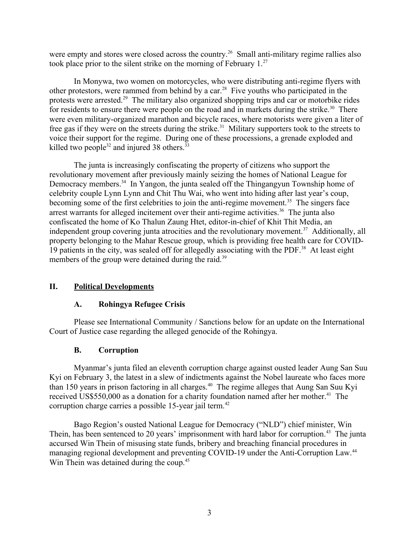were empty and stores were closed across the country.<sup>[26](#page-7-25)</sup> Small anti-military regime rallies also took place prior to the silent strike on the morning of February  $1<sup>27</sup>$  $1<sup>27</sup>$  $1<sup>27</sup>$ 

<span id="page-2-4"></span><span id="page-2-3"></span>In Monywa, two women on motorcycles, who were distributing anti-regime flyers with other protestors, were rammed from behind by a car.[28](#page-7-27) Five youths who participated in the protests were arrested.<sup>[29](#page-7-28)</sup> The military also organized shopping trips and car or motorbike rides for residents to ensure there were people on the road and in markets during the strike.<sup>[30](#page-7-29)</sup> There were even military-organized marathon and bicycle races, where motorists were given a liter of free gas if they were on the streets during the strike.<sup>[31](#page-7-30)</sup> Military supporters took to the streets to voice their support for the regime. During one of these processions, a grenade exploded and killed two people<sup>[32](#page-7-31)</sup> and injured 38 others.<sup>[33](#page-7-32)</sup>

<span id="page-2-11"></span><span id="page-2-10"></span><span id="page-2-9"></span><span id="page-2-8"></span><span id="page-2-7"></span><span id="page-2-6"></span><span id="page-2-5"></span>The junta is increasingly confiscating the property of citizens who support the revolutionary movement after previously mainly seizing the homes of National League for Democracy members.<sup>[34](#page-7-33)</sup> In Yangon, the junta sealed off the Thingangyun Township home of celebrity couple Lynn Lynn and Chit Thu Wai, who went into hiding after last year's coup, becoming some of the first celebrities to join the anti-regime movement.<sup>[35](#page-7-34)</sup> The singers face arrest warrants for alleged incitement over their anti-regime activities.<sup>[36](#page-7-35)</sup> The junta also confiscated the home of Ko Thalun Zaung Htet, editor-in-chief of Khit Thit Media, an independent group covering junta atrocities and the revolutionary movement.<sup>[37](#page-7-36)</sup> Additionally, all property belonging to the Mahar Rescue group, which is providing free health care for COVID-19 patients in the city, was sealed off for allegedly associating with the PDF.[38](#page-7-37) At least eight members of the group were detained during the raid.<sup>[39](#page-7-38)</sup>

# **II. Political Developments**

## <span id="page-2-16"></span><span id="page-2-15"></span><span id="page-2-14"></span><span id="page-2-13"></span><span id="page-2-12"></span><span id="page-2-2"></span><span id="page-2-1"></span>**A. Rohingya Refugee Crisis**

Please see International Community / Sanctions below for an update on the International Court of Justice case regarding the alleged genocide of the Rohingya.

## <span id="page-2-20"></span><span id="page-2-19"></span><span id="page-2-18"></span><span id="page-2-17"></span><span id="page-2-0"></span>**B. Corruption**

Myanmar's junta filed an eleventh corruption charge against ousted leader Aung San Suu Kyi on February 3, the latest in a slew of indictments against the Nobel laureate who faces more than 150 years in prison factoring in all charges.<sup>[40](#page-7-39)</sup> The regime alleges that Aung San Suu Kyi received US\$550,000 as a donation for a charity foundation named after her mother.<sup>[41](#page-7-40)</sup> The corruption charge carries a possible 15-year jail term.<sup>[42](#page-7-41)</sup>

<span id="page-2-22"></span><span id="page-2-21"></span>Bago Region's ousted National League for Democracy ("NLD") chief minister, Win Thein, has been sentenced to 20 years' imprisonment with hard labor for corruption.<sup>[43](#page-7-42)</sup> The junta accursed Win Thein of misusing state funds, bribery and breaching financial procedures in managing regional development and preventing COVID-19 under the Anti-Corruption Law.<sup>[44](#page-7-43)</sup> Win Thein was detained during the coup.<sup>[45](#page-7-44)</sup>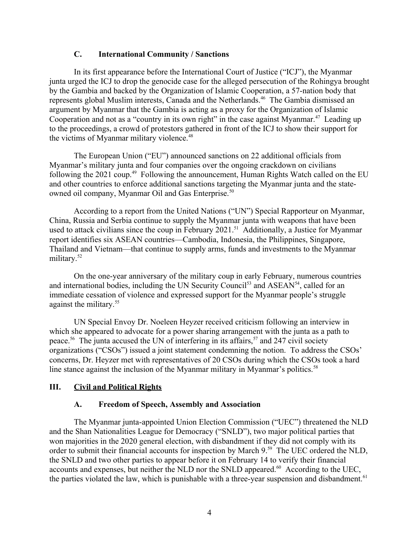### <span id="page-3-4"></span><span id="page-3-3"></span><span id="page-3-2"></span>**C. International Community / Sanctions**

In its first appearance before the International Court of Justice ("ICJ"), the Myanmar junta urged the ICJ to drop the genocide case for the alleged persecution of the Rohingya brought by the Gambia and backed by the Organization of Islamic Cooperation, a 57-nation body that represents global Muslim interests, Canada and the Netherlands.<sup>[46](#page-7-45)</sup> The Gambia dismissed an argument by Myanmar that the Gambia is acting as a proxy for the Organization of Islamic Cooperation and not as a "country in its own right" in the case against Myanmar.<sup>[47](#page-8-0)</sup> Leading up to the proceedings, a crowd of protestors gathered in front of the ICJ to show their support for the victims of Myanmar military violence.<sup>[48](#page-8-1)</sup>

<span id="page-3-5"></span>The European Union ("EU") announced sanctions on 22 additional officials from Myanmar's military junta and four companies over the ongoing crackdown on civilians following the 2021 coup.<sup>[49](#page-8-2)</sup> Following the announcement, Human Rights Watch called on the EU and other countries to enforce additional sanctions targeting the Myanmar junta and the state-owned oil company, Myanmar Oil and Gas Enterprise.<sup>[50](#page-8-3)</sup>

<span id="page-3-7"></span><span id="page-3-6"></span>According to a report from the United Nations ("UN") Special Rapporteur on Myanmar, China, Russia and Serbia continue to supply the Myanmar junta with weapons that have been used to attack civilians since the coup in February 2021.<sup>[51](#page-8-4)</sup> Additionally, a Justice for Myanmar report identifies six ASEAN countries—Cambodia, Indonesia, the Philippines, Singapore, Thailand and Vietnam—that continue to supply arms, funds and investments to the Myanmar military.<sup>[52](#page-8-5)</sup>

<span id="page-3-9"></span><span id="page-3-8"></span>On the one-year anniversary of the military coup in early February, numerous countries and international bodies, including the UN Security Council<sup>[53](#page-8-6)</sup> and ASEAN<sup>[54](#page-8-7)</sup>, called for an immediate cessation of violence and expressed support for the Myanmar people's struggle against the military.<sup>[55](#page-8-8)</sup>

<span id="page-3-12"></span>UN Special Envoy Dr. Noeleen Heyzer received criticism following an interview in which she appeared to advocate for a power sharing arrangement with the junta as a path to peace.<sup>[56](#page-8-9)</sup> The junta accused the UN of interfering in its affairs,<sup>[57](#page-8-10)</sup> and 247 civil society organizations ("CSOs") issued a joint statement condemning the notion. To address the CSOs' concerns, Dr. Heyzer met with representatives of 20 CSOs during which the CSOs took a hard line stance against the inclusion of the Myanmar military in Myanmar's politics.<sup>[58](#page-8-11)</sup>

### <span id="page-3-13"></span>**III. Civil and Political Rights**

### <span id="page-3-18"></span><span id="page-3-17"></span><span id="page-3-16"></span><span id="page-3-15"></span><span id="page-3-14"></span><span id="page-3-11"></span><span id="page-3-10"></span><span id="page-3-1"></span><span id="page-3-0"></span>**A. Freedom of Speech, Assembly and Association**

The Myanmar junta-appointed Union Election Commission ("UEC") threatened the NLD and the Shan Nationalities League for Democracy ("SNLD"), two major political parties that won majorities in the 2020 general election, with disbandment if they did not comply with its order to submit their financial accounts for inspection by March 9.<sup>[59](#page-8-12)</sup> The UEC ordered the NLD, the SNLD and two other parties to appear before it on February 14 to verify their financial accounts and expenses, but neither the NLD nor the SNLD appeared.<sup>[60](#page-8-13)</sup> According to the UEC, the parties violated the law, which is punishable with a three-year suspension and disbandment.<sup>[61](#page-8-14)</sup>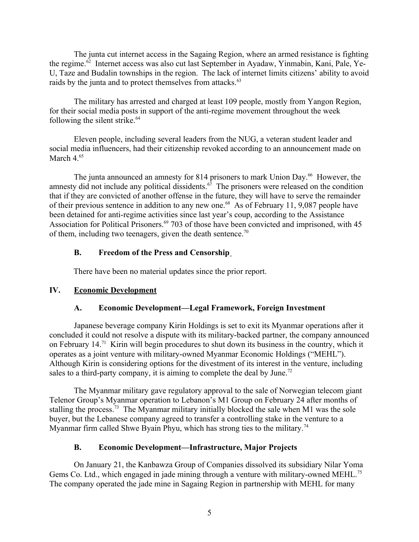The junta cut internet access in the Sagaing Region, where an armed resistance is fighting the regime.<sup>[62](#page-8-15)</sup> Internet access was also cut last September in Ayadaw, Yinmabin, Kani, Pale, Ye-U, Taze and Budalin townships in the region. The lack of internet limits citizens' ability to avoid raids by the junta and to protect themselves from attacks.<sup>[63](#page-8-16)</sup>

<span id="page-4-5"></span><span id="page-4-4"></span>The military has arrested and charged at least 109 people, mostly from Yangon Region, for their social media posts in support of the anti-regime movement throughout the week following the silent strike. $64$ 

<span id="page-4-6"></span>Eleven people, including several leaders from the NUG, a veteran student leader and social media influencers, had their citizenship revoked according to an announcement made on March 4.<sup>[65](#page-8-18)</sup>

<span id="page-4-7"></span>The junta announced an amnesty for 814 prisoners to mark Union Day.<sup>[66](#page-8-19)</sup> However, the amnesty did not include any political dissidents.<sup> $67$ </sup> The prisoners were released on the condition that if they are convicted of another offense in the future, they will have to serve the remainder of their previous sentence in addition to any new one.<sup>[68](#page-8-21)</sup> As of February 11, 9,087 people have been detained for anti-regime activities since last year's coup, according to the Assistance Association for Political Prisoners.<sup>[69](#page-8-22)</sup> 703 of those have been convicted and imprisoned, with 45 of them, including two teenagers, given the death sentence.<sup>[70](#page-8-23)</sup>

## <span id="page-4-11"></span><span id="page-4-10"></span><span id="page-4-9"></span><span id="page-4-8"></span><span id="page-4-3"></span>**B. Freedom of the Press and Censorship**

<span id="page-4-12"></span>There have been no material updates since the prior report.

## **IV. Economic Development**

# <span id="page-4-2"></span><span id="page-4-1"></span>**A. Economic Development—Legal Framework, Foreign Investment**

Japanese beverage company Kirin Holdings is set to exit its Myanmar operations after it concluded it could not resolve a dispute with its military-backed partner, the company announced on February 14.[71](#page-8-24) Kirin will begin procedures to shut down its business in the country, which it operates as a joint venture with military-owned Myanmar Economic Holdings ("MEHL"). Although Kirin is considering options for the divestment of its interest in the venture, including sales to a third-party company, it is aiming to complete the deal by June.<sup>[72](#page-8-25)</sup>

<span id="page-4-13"></span>The Myanmar military gave regulatory approval to the sale of Norwegian telecom giant Telenor Group's Myanmar operation to Lebanon's M1 Group on February 24 after months of stalling the process.<sup>[73](#page-8-26)</sup> The Myanmar military initially blocked the sale when M1 was the sole buyer, but the Lebanese company agreed to transfer a controlling stake in the venture to a Myanmar firm called Shwe Byain Phyu, which has strong ties to the military.<sup>[74](#page-8-27)</sup>

# <span id="page-4-17"></span><span id="page-4-16"></span><span id="page-4-15"></span><span id="page-4-14"></span><span id="page-4-0"></span>**B. Economic Development—Infrastructure, Major Projects**

On January 21, the Kanbawza Group of Companies dissolved its subsidiary Nilar Yoma Gems Co. Ltd., which engaged in jade mining through a venture with military-owned MEHL.<sup>[75](#page-8-28)</sup> The company operated the jade mine in Sagaing Region in partnership with MEHL for many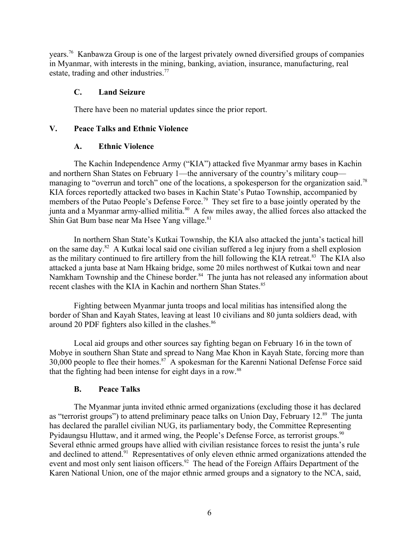years.[76](#page-8-29) Kanbawza Group is one of the largest privately owned diversified groups of companies in Myanmar, with interests in the mining, banking, aviation, insurance, manufacturing, real estate, trading and other industries.<sup>[77](#page-8-30)</sup>

### <span id="page-5-4"></span><span id="page-5-3"></span>**C. Land Seizure**

<span id="page-5-5"></span>There have been no material updates since the prior report.

### **V. Peace Talks and Ethnic Violence**

### <span id="page-5-6"></span><span id="page-5-2"></span><span id="page-5-1"></span>**A. Ethnic Violence**

The Kachin Independence Army ("KIA") attacked five Myanmar army bases in Kachin and northern Shan States on February 1—the anniversary of the country's military coup— managing to "overrun and torch" one of the locations, a spokesperson for the organization said.<sup>[78](#page-8-31)</sup> KIA forces reportedly attacked two bases in Kachin State's Putao Township, accompanied by members of the Putao People's Defense Force.<sup>[79](#page-8-32)</sup> They set fire to a base jointly operated by the junta and a Myanmar army-allied militia.<sup>[80](#page-8-33)</sup> A few miles away, the allied forces also attacked the Shin Gat Bum base near Ma Hsee Yang village.  $81$ 

<span id="page-5-9"></span><span id="page-5-8"></span><span id="page-5-7"></span>In northern Shan State's Kutkai Township, the KIA also attacked the junta's tactical hill on the same day.[82](#page-8-35) A Kutkai local said one civilian suffered a leg injury from a shell explosion as the military continued to fire artillery from the hill following the KIA retreat.<sup>[83](#page-8-36)</sup> The KIA also attacked a junta base at Nam Hkaing bridge, some 20 miles northwest of Kutkai town and near Namkham Township and the Chinese border.<sup>[84](#page-8-37)</sup> The junta has not released any information about recent clashes with the KIA in Kachin and northern Shan States.<sup>[85](#page-8-38)</sup>

<span id="page-5-10"></span>Fighting between Myanmar junta troops and local militias has intensified along the border of Shan and Kayah States, leaving at least 10 civilians and 80 junta soldiers dead, with around 20 PDF fighters also killed in the clashes.<sup>[86](#page-8-39)</sup>

Local aid groups and other sources say fighting began on February 16 in the town of Mobye in southern Shan State and spread to Nang Mae Khon in Kayah State, forcing more than  $30,000$  people to flee their homes.<sup>[87](#page-8-40)</sup> A spokesman for the Karenni National Defense Force said that the fighting had been intense for eight days in a row.<sup>[88](#page-8-41)</sup>

### <span id="page-5-20"></span><span id="page-5-19"></span><span id="page-5-18"></span><span id="page-5-17"></span><span id="page-5-16"></span><span id="page-5-15"></span><span id="page-5-14"></span><span id="page-5-13"></span><span id="page-5-12"></span><span id="page-5-11"></span><span id="page-5-0"></span>**B. Peace Talks**

The Myanmar junta invited ethnic armed organizations (excluding those it has declared as "terrorist groups") to attend preliminary peace talks on Union Day, February 12.<sup>[89](#page-8-42)</sup> The junta has declared the parallel civilian NUG, its parliamentary body, the Committee Representing Pvidaungsu Hluttaw, and it armed wing, the People's Defense Force, as terrorist groups.<sup>[90](#page-8-43)</sup> Several ethnic armed groups have allied with civilian resistance forces to resist the junta's rule and declined to attend.<sup>[91](#page-8-44)</sup> Representatives of only eleven ethnic armed organizations attended the event and most only sent liaison officers.<sup>[92](#page-8-45)</sup> The head of the Foreign Affairs Department of the Karen National Union, one of the major ethnic armed groups and a signatory to the NCA, said,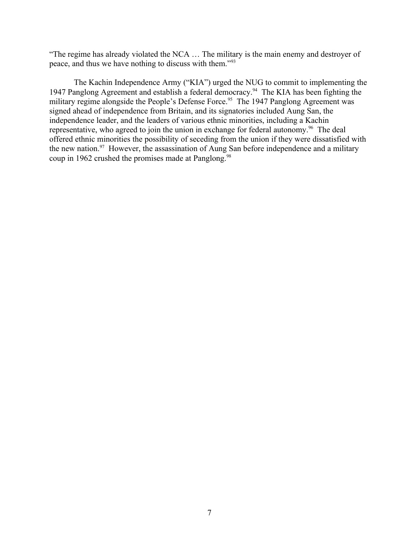"The regime has already violated the NCA … The military is the main enemy and destroyer of peace, and thus we have nothing to discuss with them."[93](#page-8-46)

<span id="page-6-5"></span><span id="page-6-4"></span><span id="page-6-3"></span><span id="page-6-2"></span><span id="page-6-1"></span><span id="page-6-0"></span>The Kachin Independence Army ("KIA") urged the NUG to commit to implementing the 1947 Panglong Agreement and establish a federal democracy.[94](#page-8-47) The KIA has been fighting the military regime alongside the People's Defense Force.<sup>[95](#page-8-48)</sup> The 1947 Panglong Agreement was signed ahead of independence from Britain, and its signatories included Aung San, the independence leader, and the leaders of various ethnic minorities, including a Kachin representative, who agreed to join the union in exchange for federal autonomy.<sup>[96](#page-8-49)</sup> The deal offered ethnic minorities the possibility of seceding from the union if they were dissatisfied with the new nation. $97$  However, the assassination of Aung San before independence and a military coup in 1962 crushed the promises made at Panglong.<sup>[98](#page-9-1)</sup>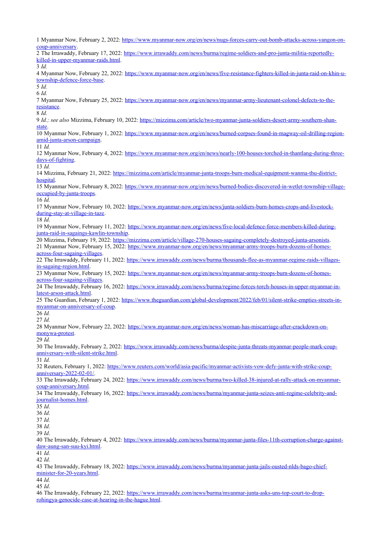<span id="page-7-23"></span><span id="page-7-22"></span><span id="page-7-21"></span><span id="page-7-20"></span><span id="page-7-19"></span><span id="page-7-18"></span><span id="page-7-17"></span><span id="page-7-16"></span><span id="page-7-15"></span><span id="page-7-14"></span><span id="page-7-13"></span><span id="page-7-12"></span><span id="page-7-11"></span><span id="page-7-10"></span><span id="page-7-9"></span><span id="page-7-8"></span><span id="page-7-7"></span><span id="page-7-6"></span><span id="page-7-5"></span><span id="page-7-4"></span><span id="page-7-3"></span><span id="page-7-2"></span><span id="page-7-1"></span><span id="page-7-0"></span> Myanmar Now, February 2, 2022: [https://www.myanmar-now.org/en/news/nugs-forces-carry-out-bomb-attacks-across-yangon-on](https://www.myanmar-now.org/en/news/nugs-forces-carry-out-bomb-attacks-across-yangon-on-coup-anniversary)[coup-anniversary](https://www.myanmar-now.org/en/news/nugs-forces-carry-out-bomb-attacks-across-yangon-on-coup-anniversary). The Irrawaddy, February 17, 2022: [https://www.irrawaddy.com/news/burma/regime-soldiers-and-pro-junta-militia-reportedly](https://www.irrawaddy.com/news/burma/regime-soldiers-and-pro-junta-militia-reportedly-killed-in-upper-myanmar-raids.html)[killed-in-upper-myanmar-raids.html](https://www.irrawaddy.com/news/burma/regime-soldiers-and-pro-junta-militia-reportedly-killed-in-upper-myanmar-raids.html). *Id.* Myanmar Now, February 22, 2022: [https://www.myanmar-now.org/en/news/five-resistance-fighters-killed-in-junta-raid-on-khin-u](https://www.myanmar-now.org/en/news/five-resistance-fighters-killed-in-junta-raid-on-khin-u-township-defence-force-base)[township-defence-force-base](https://www.myanmar-now.org/en/news/five-resistance-fighters-killed-in-junta-raid-on-khin-u-township-defence-force-base). *Id. Id.* Myanmar Now, February 25, 2022: [https://www.myanmar-now.org/en/news/myanmar-army-lieutenant-colonel-defects-to-the](https://www.myanmar-now.org/en/news/myanmar-army-lieutenant-colonel-defects-to-the-resistance)[resistance](https://www.myanmar-now.org/en/news/myanmar-army-lieutenant-colonel-defects-to-the-resistance) *Id. Id.; see also* Mizzima, February 10, 2022: [https://mizzima.com/article/two-myanmar-junta-soldiers-desert-army-southern-shan](https://mizzima.com/article/two-myanmar-junta-soldiers-desert-army-southern-shan-state)[state](https://mizzima.com/article/two-myanmar-junta-soldiers-desert-army-southern-shan-state). Myanmar Now, February 1, 2022: [https://www.myanmar-now.org/en/news/burned-corpses-found-in-magway-oil-drilling-region](https://www.myanmar-now.org/en/news/burned-corpses-found-in-magway-oil-drilling-region-amid-junta-arson-campaign)[amid-junta-arson-campaign](https://www.myanmar-now.org/en/news/burned-corpses-found-in-magway-oil-drilling-region-amid-junta-arson-campaign). *Id.* Myanmar Now, February 4, 2022: [https://www.myanmar-now.org/en/news/nearly-100-houses-torched-in-thantlang-during-three](https://www.myanmar-now.org/en/news/nearly-100-houses-torched-in-thantlang-during-three-days-of-fighting)[days-of-fighting](https://www.myanmar-now.org/en/news/nearly-100-houses-torched-in-thantlang-during-three-days-of-fighting). *Id.* Mizzima, February 21, 2022: [https://mizzima.com/article/myanmar-junta-troops-burn-medical-equipment-wanma-thu-district](https://mizzima.com/article/myanmar-junta-troops-burn-medical-equipment-wanma-thu-district-hospital)[hospital](https://mizzima.com/article/myanmar-junta-troops-burn-medical-equipment-wanma-thu-district-hospital) Myanmar Now, February 8, 2022: [https://www.myanmar-now.org/en/news/burned-bodies-discovered-in-wetlet-township-village](https://www.myanmar-now.org/en/news/burned-bodies-discovered-in-wetlet-township-village-occupied-by-junta-troops)[occupied-by-junta-troops.](https://www.myanmar-now.org/en/news/burned-bodies-discovered-in-wetlet-township-village-occupied-by-junta-troops) *Id.* Myanmar Now, February 10, 2022: [https://www.myanmar-now.org/en/news/junta-soldiers-burn-homes-crops-and-livestock](https://www.myanmar-now.org/en/news/junta-soldiers-burn-homes-crops-and-livestock-during-stay-at-village-in-taze)[during-stay-at-village-in-taze](https://www.myanmar-now.org/en/news/junta-soldiers-burn-homes-crops-and-livestock-during-stay-at-village-in-taze). *Id*. Myanmar Now, February 11, 2022: [https://www.myanmar-now.org/en/news/five-local-defence-force-members-killed-during](https://www.myanmar-now.org/en/news/five-local-defence-force-members-killed-during-junta-raid-in-sagaings-kawlin-township)[junta-raid-in-sagaings-kawlin-township](https://www.myanmar-now.org/en/news/five-local-defence-force-members-killed-during-junta-raid-in-sagaings-kawlin-township). Mizzima, February 19, 2022: <https://mizzima.com/article/village-270-houses-sagaing-completely-destroyed-junta-arsonists>. Myanmar Now, February 15, 2022: [https://www.myanmar-now.org/en/news/myanmar-army-troops-burn-dozens-of-homes](https://www.myanmar-now.org/en/news/myanmar-army-troops-burn-dozens-of-homes-across-four-sagaing-villages)[across-four-sagaing-villages.](https://www.myanmar-now.org/en/news/myanmar-army-troops-burn-dozens-of-homes-across-four-sagaing-villages) The Irrawaddy, February 11, 2022: [https://www.irrawaddy.com/news/burma/thousands-flee-as-myanmar-regime-raids-villages](https://www.irrawaddy.com/news/burma/thousands-flee-as-myanmar-regime-raids-villages-in-sagaing-region.html)[in-sagaing-region.html](https://www.irrawaddy.com/news/burma/thousands-flee-as-myanmar-regime-raids-villages-in-sagaing-region.html). Myanmar Now, February 15, 2022: [https://www.myanmar-now.org/en/news/myanmar-army-troops-burn-dozens-of-homes](https://www.myanmar-now.org/en/news/myanmar-army-troops-burn-dozens-of-homes-across-four-sagaing-villages)[across-four-sagaing-villages.](https://www.myanmar-now.org/en/news/myanmar-army-troops-burn-dozens-of-homes-across-four-sagaing-villages) The Irrawaddy, February 16, 2022: [https://www.irrawaddy.com/news/burma/regime-forces-torch-houses-in-upper-myanmar-in](https://www.irrawaddy.com/news/burma/regime-forces-torch-houses-in-upper-myanmar-in-latest-arson-attack.html)[latest-arson-attack.html](https://www.irrawaddy.com/news/burma/regime-forces-torch-houses-in-upper-myanmar-in-latest-arson-attack.html). The Guardian, February 1, 2022: [https://www.theguardian.com/global-development/2022/feb/01/silent-strike-empties-streets-in](https://www.theguardian.com/global-development/2022/feb/01/silent-strike-empties-streets-in-myanmar-on-anniversary-of-coup)[myanmar-on-anniversary-of-coup.](https://www.theguardian.com/global-development/2022/feb/01/silent-strike-empties-streets-in-myanmar-on-anniversary-of-coup) *Id. Id.* Myanmar Now, February 22, 2022: [https://www.myanmar-now.org/en/news/woman-has-miscarriage-after-crackdown-on](https://www.myanmar-now.org/en/news/woman-has-miscarriage-after-crackdown-on-monywa-protest)[monywa-protest](https://www.myanmar-now.org/en/news/woman-has-miscarriage-after-crackdown-on-monywa-protest). *Id.* The Irrawaddy, February 2, 2022: [https://www.irrawaddy.com/news/burma/despite-junta-threats-myanmar-people-mark-coup](https://www.irrawaddy.com/news/burma/despite-junta-threats-myanmar-people-mark-coup-anniversary-with-silent-strike.html)[anniversary-with-silent-strike.html](https://www.irrawaddy.com/news/burma/despite-junta-threats-myanmar-people-mark-coup-anniversary-with-silent-strike.html). *Id.* Reuters, February 1, 2022: [https://www.reuters.com/world/asia-pacific/myanmar-activists-vow-defy-junta-with-strike-coup](https://www.reuters.com/world/asia-pacific/myanmar-activists-vow-defy-junta-with-strike-coup-anniversary-2022-02-01/)[anniversary-2022-02-01/](https://www.reuters.com/world/asia-pacific/myanmar-activists-vow-defy-junta-with-strike-coup-anniversary-2022-02-01/). The Irrawaddy, February 24, 2022: [https://www.irrawaddy.com/news/burma/two-killed-38-injured-at-rally-attack-on-myanmar](https://www.irrawaddy.com/news/burma/two-killed-38-injured-at-rally-attack-on-myanmar-coup-anniversary.html)[coup-anniversary.html](https://www.irrawaddy.com/news/burma/two-killed-38-injured-at-rally-attack-on-myanmar-coup-anniversary.html). The Irrawaddy, February 16, 2022: [https://www.irrawaddy.com/news/burma/myanmar-junta-seizes-anti-regime-celebrity-and](https://www.irrawaddy.com/news/burma/myanmar-junta-seizes-anti-regime-celebrity-and-journalist-homes.html)journalist-homes html. *Id*. *Id*. *Id*. *Id*. *Id*. The Irrawaddy, February 4, 2022: [https://www.irrawaddy.com/news/burma/myanmar-junta-files-11th-corruption-charge-against](https://www.irrawaddy.com/news/burma/myanmar-junta-files-11th-corruption-charge-against-daw-aung-san-suu-kyi.html)[daw-aung-san-suu-kyi.html](https://www.irrawaddy.com/news/burma/myanmar-junta-files-11th-corruption-charge-against-daw-aung-san-suu-kyi.html). *Id*. *Id*. The Irrawaddy, February 18, 2022: [https://www.irrawaddy.com/news/burma/myanmar-junta-jails-ousted-nlds-bago-chief](https://www.irrawaddy.com/news/burma/myanmar-junta-jails-ousted-nlds-bago-chief-minister-for-20-years.html)[minister-for-20-years.html.](https://www.irrawaddy.com/news/burma/myanmar-junta-jails-ousted-nlds-bago-chief-minister-for-20-years.html) *Id*. *Id*.

<span id="page-7-45"></span><span id="page-7-44"></span><span id="page-7-43"></span><span id="page-7-42"></span><span id="page-7-41"></span><span id="page-7-40"></span><span id="page-7-39"></span><span id="page-7-38"></span><span id="page-7-37"></span><span id="page-7-36"></span><span id="page-7-35"></span><span id="page-7-34"></span><span id="page-7-33"></span><span id="page-7-32"></span><span id="page-7-31"></span><span id="page-7-30"></span><span id="page-7-29"></span><span id="page-7-28"></span><span id="page-7-27"></span><span id="page-7-26"></span><span id="page-7-25"></span><span id="page-7-24"></span> The Irrawaddy, February 22, 2022: [https://www.irrawaddy.com/news/burma/myanmar-junta-asks-uns-top-court-to-drop](https://www.irrawaddy.com/news/burma/myanmar-junta-asks-uns-top-court-to-drop-rohingya-genocide-case-at-hearing-in-the-hague.html)[rohingya-genocide-case-at-hearing-in-the-hague.html](https://www.irrawaddy.com/news/burma/myanmar-junta-asks-uns-top-court-to-drop-rohingya-genocide-case-at-hearing-in-the-hague.html).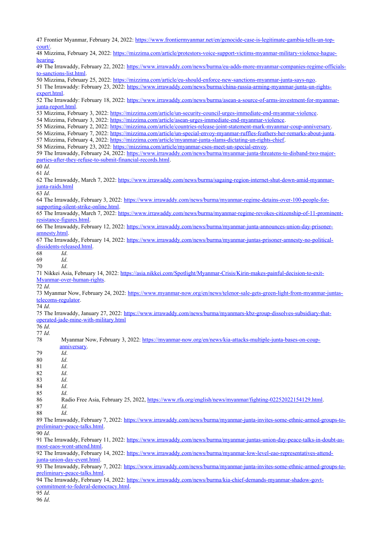<span id="page-8-49"></span><span id="page-8-48"></span><span id="page-8-47"></span><span id="page-8-46"></span><span id="page-8-45"></span><span id="page-8-44"></span><span id="page-8-43"></span><span id="page-8-42"></span><span id="page-8-41"></span><span id="page-8-40"></span><span id="page-8-39"></span><span id="page-8-38"></span><span id="page-8-37"></span><span id="page-8-36"></span><span id="page-8-35"></span><span id="page-8-34"></span><span id="page-8-33"></span><span id="page-8-32"></span><span id="page-8-31"></span><span id="page-8-30"></span><span id="page-8-29"></span><span id="page-8-28"></span><span id="page-8-27"></span><span id="page-8-26"></span><span id="page-8-25"></span><span id="page-8-24"></span><span id="page-8-23"></span><span id="page-8-22"></span><span id="page-8-21"></span><span id="page-8-20"></span><span id="page-8-19"></span><span id="page-8-18"></span><span id="page-8-17"></span><span id="page-8-16"></span><span id="page-8-15"></span><span id="page-8-14"></span><span id="page-8-13"></span><span id="page-8-12"></span><span id="page-8-11"></span><span id="page-8-10"></span><span id="page-8-9"></span><span id="page-8-8"></span><span id="page-8-7"></span><span id="page-8-6"></span><span id="page-8-5"></span><span id="page-8-4"></span><span id="page-8-3"></span><span id="page-8-2"></span><span id="page-8-1"></span><span id="page-8-0"></span> Frontier Myanmar, February 24, 2022: [https://www.frontiermyanmar.net/en/genocide-case-is-legitimate-gambia-tells-un-top](https://www.frontiermyanmar.net/en/genocide-case-is-legitimate-gambia-tells-un-top-court/)[court/.](https://www.frontiermyanmar.net/en/genocide-case-is-legitimate-gambia-tells-un-top-court/) Mizzima, February 24, 2022: [https://mizzima.com/article/protestors-voice-support-victims-myanmar-military-violence-hague](https://mizzima.com/article/protestors-voice-support-victims-myanmar-military-violence-hague-hearing)[hearing.](https://mizzima.com/article/protestors-voice-support-victims-myanmar-military-violence-hague-hearing) The Irrawaddy, February 22, 2022: [https://www.irrawaddy.com/news/burma/eu-adds-more-myanmar-companies-regime-officials](https://www.irrawaddy.com/news/burma/eu-adds-more-myanmar-companies-regime-officials-to-sanctions-list.html)[to-sanctions-list.html](https://www.irrawaddy.com/news/burma/eu-adds-more-myanmar-companies-regime-officials-to-sanctions-list.html). Mizzima, February 25, 2022: <https://mizzima.com/article/eu-should-enforce-new-sanctions-myanmar-junta-says-ngo>. The Irrawaddy: February 23, 2022: [https://www.irrawaddy.com/news/burma/china-russia-arming-myanmar-junta-un-rights](https://www.irrawaddy.com/news/burma/china-russia-arming-myanmar-junta-un-rights-expert.html)[expert.html](https://www.irrawaddy.com/news/burma/china-russia-arming-myanmar-junta-un-rights-expert.html). The Irrawaddy: February 18, 2022: [https://www.irrawaddy.com/news/burma/asean-a-source-of-arms-investment-for-myanmar](https://www.irrawaddy.com/news/burma/asean-a-source-of-arms-investment-for-myanmar-junta-report.html)[junta-report.html](https://www.irrawaddy.com/news/burma/asean-a-source-of-arms-investment-for-myanmar-junta-report.html). Mizzima, February 3, 2022:<https://mizzima.com/article/un-security-council-urges-immediate-end-myanmar-violence>. Mizzima, February 3, 2022:<https://mizzima.com/article/asean-urges-immediate-end-myanmar-violence>. Mizzima, February 2, 2022:<https://mizzima.com/article/countries-release-joint-statement-mark-myanmar-coup-anniversary>. Mizzima, February 7, 2022: [https://mizzima.com/article/un-special-envoy-myanmar-ruffles-feathers-her-remarks-about-junta.](https://mizzima.com/article/un-special-envoy-myanmar-ruffles-feathers-her-remarks-about-junta) Mizzima, February 4, 2022:<https://mizzima.com/article/myanmar-junta-slams-dictating-un-rights-chief>. Mizzima, February 23, 2022: <https://mizzima.com/article/myanmar-csos-meet-un-special-envoy>. The Irrawaddy, February 24, 2022: [https://www.irrawaddy.com/news/burma/myanmar-junta-threatens-to-disband-two-major](https://www.irrawaddy.com/news/burma/myanmar-junta-threatens-to-disband-two-major-parties-after-they-refuse-to-submit-financial-records.html)[parties-after-they-refuse-to-submit-financial-records.html](https://www.irrawaddy.com/news/burma/myanmar-junta-threatens-to-disband-two-major-parties-after-they-refuse-to-submit-financial-records.html). *Id*. *Id*. The Irrawaddy, March 7, 2022: [https://www.irrawaddy.com/news/burma/sagaing-region-internet-shut-down-amid-myanmar](https://www.irrawaddy.com/news/burma/sagaing-region-internet-shut-down-amid-myanmar-junta-raids.html)[junta-raids.html](https://www.irrawaddy.com/news/burma/sagaing-region-internet-shut-down-amid-myanmar-junta-raids.html) *Id*. The Irrawaddy, February 3, 2022: [https://www.irrawaddy.com/news/burma/myanmar-regime-detains-over-100-people-for](https://www.irrawaddy.com/news/burma/myanmar-regime-detains-over-100-people-for-supporting-silent-strike-online.html)[supporting-silent-strike-online.html](https://www.irrawaddy.com/news/burma/myanmar-regime-detains-over-100-people-for-supporting-silent-strike-online.html). The Irrawaddy, March 7, 2022: [https://www.irrawaddy.com/news/burma/myanmar-regime-revokes-citizenship-of-11-prominent](https://www.irrawaddy.com/news/burma/myanmar-regime-revokes-citizenship-of-11-prominent-resistance-figures.html)[resistance-figures.html](https://www.irrawaddy.com/news/burma/myanmar-regime-revokes-citizenship-of-11-prominent-resistance-figures.html). The Irrawaddy, February 12, 2022: [https://www.irrawaddy.com/news/burma/myanmar-junta-announces-union-day-prisoner](https://www.irrawaddy.com/news/burma/myanmar-junta-announces-union-day-prisoner-amnesty.html)[amnesty.html.](https://www.irrawaddy.com/news/burma/myanmar-junta-announces-union-day-prisoner-amnesty.html) The Irrawaddy, February 14, 2022: [https://www.irrawaddy.com/news/burma/myanmar-juntas-prisoner-amnesty-no-political](https://www.irrawaddy.com/news/burma/myanmar-juntas-prisoner-amnesty-no-political-dissidents-released.html)[dissidents-released.html](https://www.irrawaddy.com/news/burma/myanmar-juntas-prisoner-amnesty-no-political-dissidents-released.html). *Id*. *Id*. *Id*. Nikkei Asia, February 14, 2022: [https://asia.nikkei.com/Spotlight/Myanmar-Crisis/Kirin-makes-painful-decision-to-exit-](https://asia.nikkei.com/Spotlight/Myanmar-Crisis/Kirin-makes-painful-decision-to-exit-Myanmar-over-human-rights)[Myanmar-over-human-rights.](https://asia.nikkei.com/Spotlight/Myanmar-Crisis/Kirin-makes-painful-decision-to-exit-Myanmar-over-human-rights) *Id*. Myanmar Now, February 24, 2022: [https://www.myanmar-now.org/en/news/telenor-sale-gets-green-light-from-myanmar-juntas](https://www.myanmar-now.org/en/news/telenor-sale-gets-green-light-from-myanmar-juntas-telecoms-regulator)[telecoms-regulator](https://www.myanmar-now.org/en/news/telenor-sale-gets-green-light-from-myanmar-juntas-telecoms-regulator). *Id*. The Irrawaddy, January 27, 2022: [https://www.irrawaddy.com/news/burma/myanmars-kbz-group-dissolves-subsidiary-that](https://www.irrawaddy.com/news/burma/myanmars-kbz-group-dissolves-subsidiary-that-operated-jade-mine-with-military.html)[operated-jade-mine-with-military.html](https://www.irrawaddy.com/news/burma/myanmars-kbz-group-dissolves-subsidiary-that-operated-jade-mine-with-military.html) *Id*. *Id*. Myanmar Now, February 3, 2022: [https://myanmar-now.org/en/news/kia-attacks-multiple-junta-bases-on-coup](https://myanmar-now.org/en/news/kia-attacks-multiple-junta-bases-on-coup-anniversary)[anniversary.](https://myanmar-now.org/en/news/kia-attacks-multiple-junta-bases-on-coup-anniversary) *Id*. *Id*. *Id*. *Id*. *Id*. *Id*. *Id*. Radio Free Asia, February 25, 2022, [https://www.rfa.org/english/news/myanmar/fighting-02252022154129.html.](https://www.rfa.org/english/news/myanmar/fighting-02252022154129.html) *Id*. *Id*. The Irrawaddy, February 7, 2022: [https://www.irrawaddy.com/news/burma/myanmar-junta-invites-some-ethnic-armed-groups-to](https://www.irrawaddy.com/news/burma/myanmar-junta-invites-some-ethnic-armed-groups-to-preliminary-peace-talks.html)[preliminary-peace-talks.html](https://www.irrawaddy.com/news/burma/myanmar-junta-invites-some-ethnic-armed-groups-to-preliminary-peace-talks.html). *Id*. The Irrawaddy, February 11, 2022: [https://www.irrawaddy.com/news/burma/myanmar-juntas-union-day-peace-talks-in-doubt-as](https://www.irrawaddy.com/news/burma/myanmar-juntas-union-day-peace-talks-in-doubt-as-most-eaos-wont-attend.html)[most-eaos-wont-attend.html](https://www.irrawaddy.com/news/burma/myanmar-juntas-union-day-peace-talks-in-doubt-as-most-eaos-wont-attend.html). The Irrawaddy, February 14, 2022: [https://www.irrawaddy.com/news/burma/myanmar-low-level-eao-representatives-attend](https://www.irrawaddy.com/news/burma/myanmar-low-level-eao-representatives-attend-junta-union-day-event.html)[junta-union-day-event.html](https://www.irrawaddy.com/news/burma/myanmar-low-level-eao-representatives-attend-junta-union-day-event.html). The Irrawaddy, February 7, 2022: [https://www.irrawaddy.com/news/burma/myanmar-junta-invites-some-ethnic-armed-groups-to](https://www.irrawaddy.com/news/burma/myanmar-junta-invites-some-ethnic-armed-groups-to-preliminary-peace-talks.html)[preliminary-peace-talks.html](https://www.irrawaddy.com/news/burma/myanmar-junta-invites-some-ethnic-armed-groups-to-preliminary-peace-talks.html). The Irrawaddy, February 14, 2022: [https://www.irrawaddy.com/news/burma/kia-chief-demands-myanmar-shadow-govt](https://www.irrawaddy.com/news/burma/kia-chief-demands-myanmar-shadow-govt-commitment-to-federal-democracy.html)[commitment-to-federal-democracy.html](https://www.irrawaddy.com/news/burma/kia-chief-demands-myanmar-shadow-govt-commitment-to-federal-democracy.html). *Id*. *Id*.